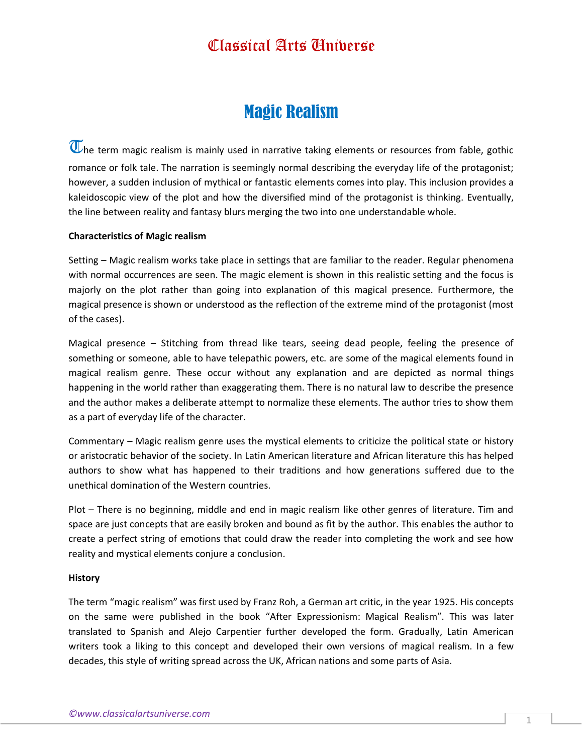### Classical Arts Universe

# Magic Realism

 $\overline{\mathbb{U}}$ he term magic realism is mainly used in narrative taking elements or resources from fable, gothic romance or folk tale. The narration is seemingly normal describing the everyday life of the protagonist; however, a sudden inclusion of mythical or fantastic elements comes into play. This inclusion provides a kaleidoscopic view of the plot and how the diversified mind of the protagonist is thinking. Eventually, the line between reality and fantasy blurs merging the two into one understandable whole.

#### **Characteristics of Magic realism**

Setting – Magic realism works take place in settings that are familiar to the reader. Regular phenomena with normal occurrences are seen. The magic element is shown in this realistic setting and the focus is majorly on the plot rather than going into explanation of this magical presence. Furthermore, the magical presence is shown or understood as the reflection of the extreme mind of the protagonist (most of the cases).

Magical presence – Stitching from thread like tears, seeing dead people, feeling the presence of something or someone, able to have telepathic powers, etc. are some of the magical elements found in magical realism genre. These occur without any explanation and are depicted as normal things happening in the world rather than exaggerating them. There is no natural law to describe the presence and the author makes a deliberate attempt to normalize these elements. The author tries to show them as a part of everyday life of the character.

Commentary – Magic realism genre uses the mystical elements to criticize the political state or history or aristocratic behavior of the society. In Latin American literature and African literature this has helped authors to show what has happened to their traditions and how generations suffered due to the unethical domination of the Western countries.

Plot – There is no beginning, middle and end in magic realism like other genres of literature. Tim and space are just concepts that are easily broken and bound as fit by the author. This enables the author to create a perfect string of emotions that could draw the reader into completing the work and see how reality and mystical elements conjure a conclusion.

#### **History**

The term "magic realism" was first used by Franz Roh, a German art critic, in the year 1925. His concepts on the same were published in the book "After Expressionism: Magical Realism". This was later translated to Spanish and Alejo Carpentier further developed the form. Gradually, Latin American writers took a liking to this concept and developed their own versions of magical realism. In a few decades, this style of writing spread across the UK, African nations and some parts of Asia.